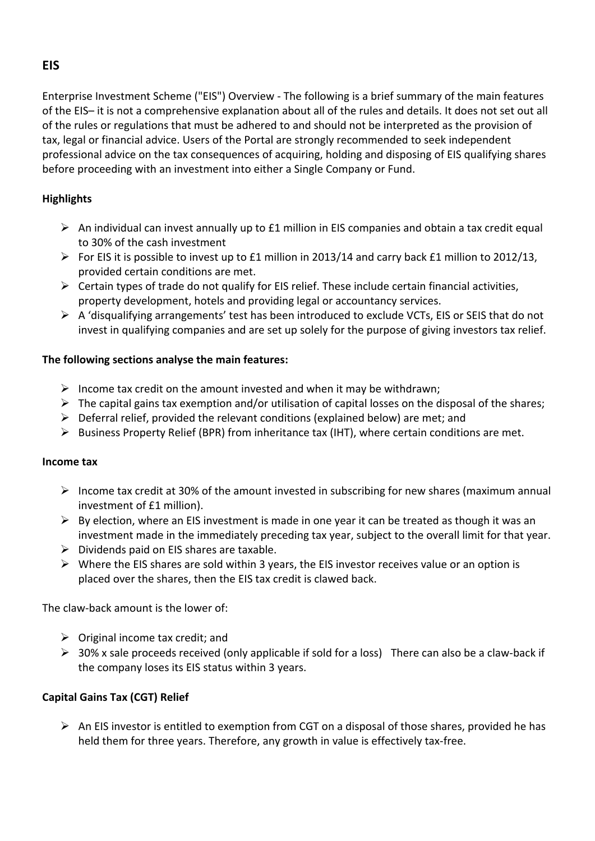Enterprise Investment Scheme ("EIS") Overview - The following is a brief summary of the main features of the EIS- it is not a comprehensive explanation about all of the rules and details. It does not set out all of the rules or regulations that must be adhered to and should not be interpreted as the provision of tax, legal or financial advice. Users of the Portal are strongly recommended to seek independent professional advice on the tax consequences of acquiring, holding and disposing of EIS qualifying shares before proceeding with an investment into either a Single Company or Fund.

# **Highlights**

- $\triangleright$  An individual can invest annually up to £1 million in EIS companies and obtain a tax credit equal to 30% of the cash investment
- $\triangleright$  For EIS it is possible to invest up to £1 million in 2013/14 and carry back £1 million to 2012/13, provided certain conditions are met.
- $\triangleright$  Certain types of trade do not qualify for EIS relief. These include certain financial activities, property development, hotels and providing legal or accountancy services.
- $\triangleright$  A 'disqualifying arrangements' test has been introduced to exclude VCTs, EIS or SEIS that do not invest in qualifying companies and are set up solely for the purpose of giving investors tax relief.

## The following sections analyse the main features:

- $\triangleright$  Income tax credit on the amount invested and when it may be withdrawn;
- $\triangleright$  The capital gains tax exemption and/or utilisation of capital losses on the disposal of the shares;
- $\triangleright$  Deferral relief, provided the relevant conditions (explained below) are met; and
- $\triangleright$  Business Property Relief (BPR) from inheritance tax (IHT), where certain conditions are met.

#### **Income tax**

- $\triangleright$  Income tax credit at 30% of the amount invested in subscribing for new shares (maximum annual investment of £1 million).
- $\triangleright$  By election, where an EIS investment is made in one year it can be treated as though it was an investment made in the immediately preceding tax year, subject to the overall limit for that year.
- $\triangleright$  Dividends paid on EIS shares are taxable.
- $\triangleright$  Where the EIS shares are sold within 3 years, the EIS investor receives value or an option is placed over the shares, then the EIS tax credit is clawed back.

The claw-back amount is the lower of:

- $\triangleright$  Original income tax credit; and
- $\triangleright$  30% x sale proceeds received (only applicable if sold for a loss) There can also be a claw-back if the company loses its EIS status within 3 years.

## **Capital Gains Tax (CGT) Relief**

 $\triangleright$  An EIS investor is entitled to exemption from CGT on a disposal of those shares, provided he has held them for three years. Therefore, any growth in value is effectively tax-free.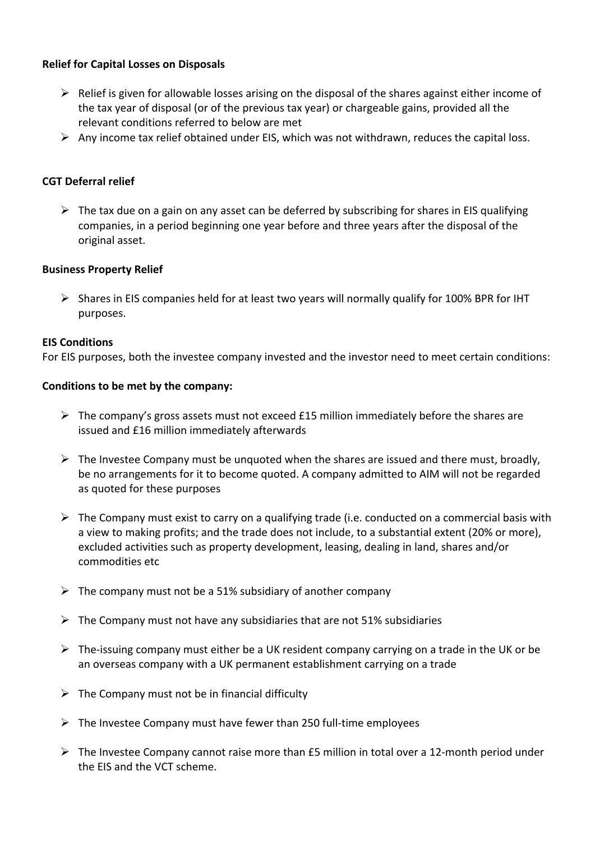## **Relief for Capital Losses on Disposals**

- $\triangleright$  Relief is given for allowable losses arising on the disposal of the shares against either income of the tax year of disposal (or of the previous tax year) or chargeable gains, provided all the relevant conditions referred to below are met
- Any income tax relief obtained under EIS, which was not withdrawn, reduces the capital loss.

# **CGT Deferral relief**

 $\triangleright$  The tax due on a gain on any asset can be deferred by subscribing for shares in EIS qualifying companies, in a period beginning one year before and three years after the disposal of the original asset.

## **Business Property Relief**

 $\triangleright$  Shares in EIS companies held for at least two years will normally qualify for 100% BPR for IHT purposes.

#### **EIS Conditions**

For EIS purposes, both the investee company invested and the investor need to meet certain conditions:

#### Conditions to be met by the company:

- $\triangleright$  The company's gross assets must not exceed £15 million immediately before the shares are issued and £16 million immediately afterwards
- $\triangleright$  The Investee Company must be unquoted when the shares are issued and there must, broadly, be no arrangements for it to become quoted. A company admitted to AIM will not be regarded as quoted for these purposes
- $\triangleright$  The Company must exist to carry on a qualifying trade (i.e. conducted on a commercial basis with a view to making profits; and the trade does not include, to a substantial extent (20% or more), excluded activities such as property development, leasing, dealing in land, shares and/or commodities etc
- $\triangleright$  The company must not be a 51% subsidiary of another company
- $\triangleright$  The Company must not have any subsidiaries that are not 51% subsidiaries
- $\triangleright$  The-issuing company must either be a UK resident company carrying on a trade in the UK or be an overseas company with a UK permanent establishment carrying on a trade
- $\triangleright$  The Company must not be in financial difficulty
- $\triangleright$  The Investee Company must have fewer than 250 full-time employees
- $\triangleright$  The Investee Company cannot raise more than £5 million in total over a 12-month period under the EIS and the VCT scheme.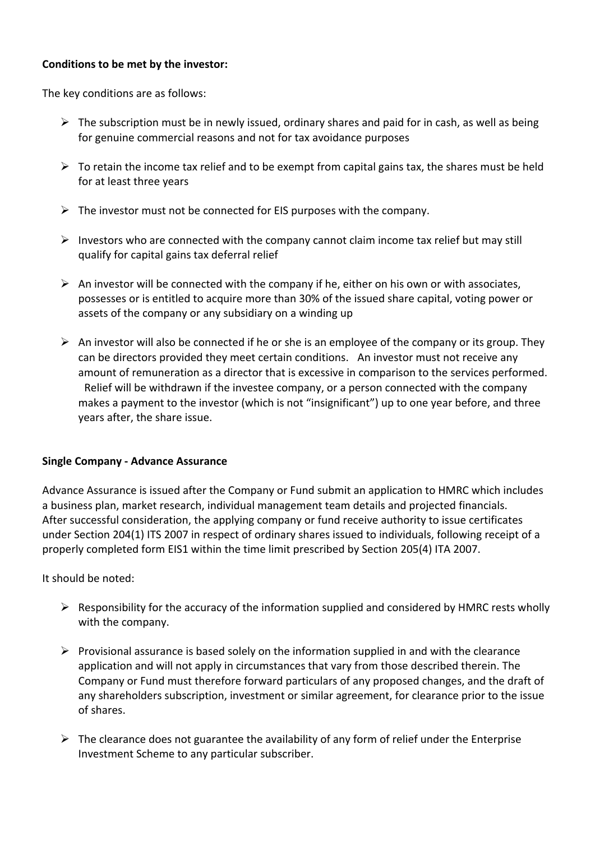### **Conditions to be met by the investor:**

The key conditions are as follows:

- $\triangleright$  The subscription must be in newly issued, ordinary shares and paid for in cash, as well as being for genuine commercial reasons and not for tax avoidance purposes
- $\triangleright$  To retain the income tax relief and to be exempt from capital gains tax, the shares must be held for at least three years
- $\triangleright$  The investor must not be connected for EIS purposes with the company.
- $\triangleright$  Investors who are connected with the company cannot claim income tax relief but may still qualify for capital gains tax deferral relief
- $\triangleright$  An investor will be connected with the company if he, either on his own or with associates, possesses or is entitled to acquire more than 30% of the issued share capital, voting power or assets of the company or any subsidiary on a winding up
- $\triangleright$  An investor will also be connected if he or she is an employee of the company or its group. They can be directors provided they meet certain conditions. An investor must not receive any amount of remuneration as a director that is excessive in comparison to the services performed. Relief will be withdrawn if the investee company, or a person connected with the company makes a payment to the investor (which is not "insignificant") up to one year before, and three years after, the share issue.

## **Single Company - Advance Assurance**

Advance Assurance is issued after the Company or Fund submit an application to HMRC which includes a business plan, market research, individual management team details and projected financials. After successful consideration, the applying company or fund receive authority to issue certificates under Section 204(1) ITS 2007 in respect of ordinary shares issued to individuals, following receipt of a properly completed form EIS1 within the time limit prescribed by Section 205(4) ITA 2007.

It should be noted:

- $\triangleright$  Responsibility for the accuracy of the information supplied and considered by HMRC rests wholly with the company.
- $\triangleright$  Provisional assurance is based solely on the information supplied in and with the clearance application and will not apply in circumstances that vary from those described therein. The Company or Fund must therefore forward particulars of any proposed changes, and the draft of any shareholders subscription, investment or similar agreement, for clearance prior to the issue of shares.
- $\triangleright$  The clearance does not guarantee the availability of any form of relief under the Enterprise Investment Scheme to any particular subscriber.